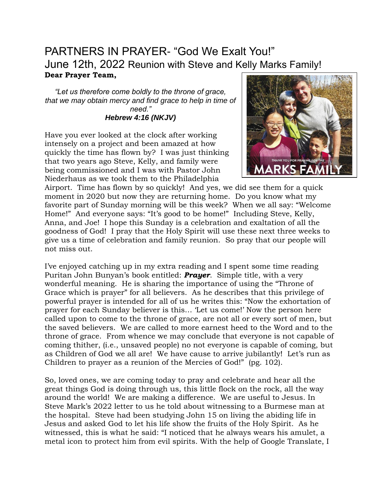# PARTNERS IN PRAYER- "God We Exalt You!" June 12th, 2022 Reunion with Steve and Kelly Marks Family! **Dear Prayer Team,**

*"Let us therefore come boldly to the throne of grace, that we may obtain mercy and find grace to help in time of need." Hebrew 4:16 (NKJV)*

Have you ever looked at the clock after working intensely on a project and been amazed at how quickly the time has flown by? I was just thinking that two years ago Steve, Kelly, and family were being commissioned and I was with Pastor John Niederhaus as we took them to the Philadelphia



Airport. Time has flown by so quickly! And yes, we did see them for a quick moment in 2020 but now they are returning home. Do you know what my favorite part of Sunday morning will be this week? When we all say: "Welcome Home!" And everyone says: "It's good to be home!" Including Steve, Kelly, Anna, and Joe! I hope this Sunday is a celebration and exaltation of all the goodness of God! I pray that the Holy Spirit will use these next three weeks to give us a time of celebration and family reunion. So pray that our people will not miss out.

I've enjoyed catching up in my extra reading and I spent some time reading Puritan John Bunyan's book entitled: *Prayer*. Simple title, with a very wonderful meaning. He is sharing the importance of using the "Throne of Grace which is prayer" for all believers. As he describes that this privilege of powerful prayer is intended for all of us he writes this: "Now the exhortation of prayer for each Sunday believer is this… 'Let us come!' Now the person here called upon to come to the throne of grace, are not all or every sort of men, but the saved believers. We are called to more earnest heed to the Word and to the throne of grace. From whence we may conclude that everyone is not capable of coming thither, (i.e., unsaved people) no not everyone is capable of coming, but as Children of God we all are! We have cause to arrive jubilantly! Let's run as Children to prayer as a reunion of the Mercies of God!" (pg. 102).

So, loved ones, we are coming today to pray and celebrate and hear all the great things God is doing through us, this little flock on the rock, all the way around the world! We are making a difference. We are useful to Jesus. In Steve Mark's 2022 letter to us he told about witnessing to a Burmese man at the hospital. Steve had been studying John 15 on living the abiding life in Jesus and asked God to let his life show the fruits of the Holy Spirit. As he witnessed, this is what he said: "I noticed that he always wears his amulet, a metal icon to protect him from evil spirits. With the help of Google Translate, I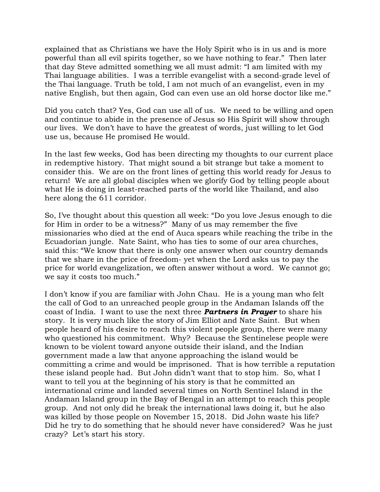explained that as Christians we have the Holy Spirit who is in us and is more powerful than all evil spirits together, so we have nothing to fear." Then later that day Steve admitted something we all must admit: "I am limited with my Thai language abilities. I was a terrible evangelist with a second-grade level of the Thai language. Truth be told, I am not much of an evangelist, even in my native English, but then again, God can even use an old horse doctor like me."

Did you catch that? Yes, God can use all of us. We need to be willing and open and continue to abide in the presence of Jesus so His Spirit will show through our lives. We don't have to have the greatest of words, just willing to let God use us, because He promised He would.

In the last few weeks, God has been directing my thoughts to our current place in redemptive history. That might sound a bit strange but take a moment to consider this. We are on the front lines of getting this world ready for Jesus to return! We are all global disciples when we glorify God by telling people about what He is doing in least-reached parts of the world like Thailand, and also here along the 611 corridor.

So, I've thought about this question all week: "Do you love Jesus enough to die for Him in order to be a witness?" Many of us may remember the five missionaries who died at the end of Auca spears while reaching the tribe in the Ecuadorian jungle. Nate Saint, who has ties to some of our area churches, said this: "We know that there is only one answer when our country demands that we share in the price of freedom- yet when the Lord asks us to pay the price for world evangelization, we often answer without a word. We cannot go; we say it costs too much."

I don't know if you are familiar with John Chau. He is a young man who felt the call of God to an unreached people group in the Andaman Islands off the coast of India. I want to use the next three *Partners in Prayer* to share his story. It is very much like the story of Jim Elliot and Nate Saint. But when people heard of his desire to reach this violent people group, there were many who questioned his commitment. Why? Because the Sentinelese people were known to be violent toward anyone outside their island, and the Indian government made a law that anyone approaching the island would be committing a crime and would be imprisoned. That is how terrible a reputation these island people had. But John didn't want that to stop him. So, what I want to tell you at the beginning of his story is that he committed an international crime and landed several times on North Sentinel Island in the Andaman Island group in the Bay of Bengal in an attempt to reach this people group. And not only did he break the international laws doing it, but he also was killed by those people on November 15, 2018. Did John waste his life? Did he try to do something that he should never have considered? Was he just crazy? Let's start his story.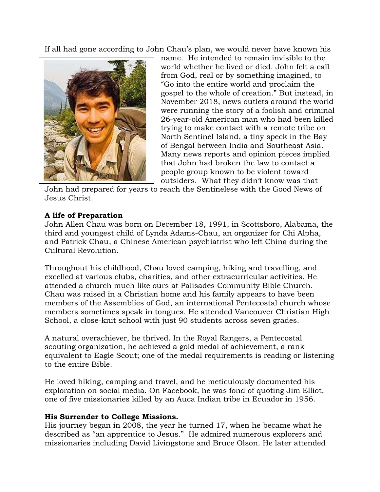If all had gone according to John Chau's plan, we would never have known his



name. He intended to remain invisible to the world whether he lived or died. John felt a call from God, real or by something imagined, to "Go into the entire world and proclaim the gospel to the whole of creation." But instead, in November 2018, news outlets around the world were running the story of a foolish and criminal 26-year-old American man who had been killed trying to make contact with a remote tribe on North Sentinel Island, a tiny speck in the Bay of Bengal between India and Southeast Asia. Many news reports and opinion pieces implied that John had broken the law to contact a people group known to be violent toward outsiders. What they didn't know was that

John had prepared for years to reach the Sentinelese with the Good News of Jesus Christ.

## **A life of Preparation**

John Allen Chau was born on December 18, 1991, in Scottsboro, Alabama, the third and youngest child of Lynda Adams-Chau, an organizer for Chi Alpha, and Patrick Chau, a Chinese American psychiatrist who left China during the Cultural Revolution.

Throughout his childhood, Chau loved camping, hiking and travelling, and excelled at various clubs, charities, and other extracurricular activities. He attended a church much like ours at Palisades Community Bible Church. Chau was raised in a Christian home and his family appears to have been members of the Assemblies of God, an international Pentecostal church whose members sometimes speak in tongues. He attended Vancouver Christian High School, a close-knit school with just 90 students across seven grades.

A natural overachiever, he thrived. In the Royal Rangers, a Pentecostal scouting organization, he achieved a gold medal of achievement, a rank equivalent to Eagle Scout; one of the medal requirements is reading or listening to the entire Bible.

He loved hiking, camping and travel, and he meticulously documented his exploration on social media. On Facebook, he was fond of quoting Jim Elliot, one of five missionaries killed by an Auca Indian tribe in Ecuador in 1956.

## **His Surrender to College Missions.**

His journey began in 2008, the year he turned 17, when he became what he described as "an apprentice to Jesus." He admired numerous explorers and missionaries including David Livingstone and Bruce Olson. He later attended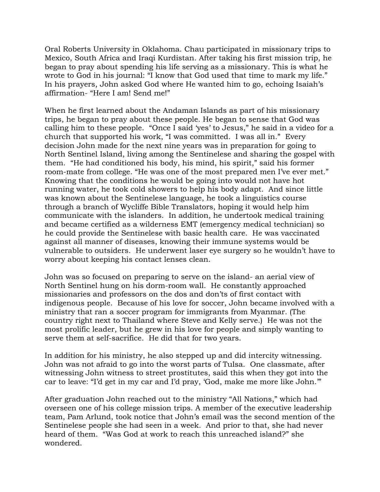Oral Roberts University in Oklahoma. Chau participated in missionary trips to Mexico, South Africa and Iraqi Kurdistan. After taking his first mission trip, he began to pray about spending his life serving as a missionary. This is what he wrote to God in his journal: "I know that God used that time to mark my life." In his prayers, John asked God where He wanted him to go, echoing Isaiah's affirmation- "Here I am! Send me!"

When he first learned about the Andaman Islands as part of his missionary trips, he began to pray about these people. He began to sense that God was calling him to these people. "Once I said 'yes' to Jesus," he said in a video for a church that supported his work, "I was committed. I was all in." Every decision John made for the next nine years was in preparation for going to North Sentinel Island, living among the Sentinelese and sharing the gospel with them. "He had conditioned his body, his mind, his spirit," said his former room-mate from college. "He was one of the most prepared men I've ever met." Knowing that the conditions he would be going into would not have hot running water, he took cold showers to help his body adapt. And since little was known about the Sentinelese language, he took a linguistics course through a branch of Wycliffe Bible Translators, hoping it would help him communicate with the islanders. In addition, he undertook medical training and became certified as a wilderness EMT (emergency medical technician) so he could provide the Sentinelese with basic health care. He was vaccinated against all manner of diseases, knowing their immune systems would be vulnerable to outsiders. He underwent laser eye surgery so he wouldn't have to worry about keeping his contact lenses clean.

John was so focused on preparing to serve on the island- an aerial view of North Sentinel hung on his dorm-room wall. He constantly approached missionaries and professors on the dos and don'ts of first contact with indigenous people. Because of his love for soccer, John became involved with a ministry that ran a soccer program for immigrants from Myanmar. (The country right next to Thailand where Steve and Kelly serve.) He was not the most prolific leader, but he grew in his love for people and simply wanting to serve them at self-sacrifice. He did that for two years.

In addition for his ministry, he also stepped up and did intercity witnessing. John was not afraid to go into the worst parts of Tulsa. One classmate, after witnessing John witness to street prostitutes, said this when they got into the car to leave: "I'd get in my car and I'd pray, 'God, make me more like John.'"

After graduation John reached out to the ministry "All Nations," which had overseen one of his college mission trips. A member of the executive leadership team, Pam Arlund, took notice that John's email was the second mention of the Sentinelese people she had seen in a week. And prior to that, she had never heard of them. "Was God at work to reach this unreached island?" she wondered.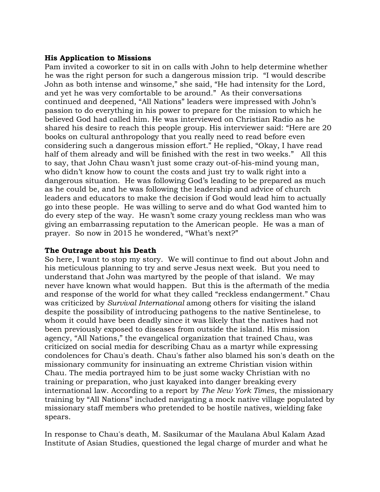#### **His Application to Missions**

Pam invited a coworker to sit in on calls with John to help determine whether he was the right person for such a dangerous mission trip. "I would describe John as both intense and winsome," she said, "He had intensity for the Lord, and yet he was very comfortable to be around." As their conversations continued and deepened, "All Nations" leaders were impressed with John's passion to do everything in his power to prepare for the mission to which he believed God had called him. He was interviewed on Christian Radio as he shared his desire to reach this people group. His interviewer said: "Here are 20 books on cultural anthropology that you really need to read before even considering such a dangerous mission effort." He replied, "Okay, I have read half of them already and will be finished with the rest in two weeks." All this to say, that John Chau wasn't just some crazy out-of-his-mind young man, who didn't know how to count the costs and just try to walk right into a dangerous situation. He was following God's leading to be prepared as much as he could be, and he was following the leadership and advice of church leaders and educators to make the decision if God would lead him to actually go into these people. He was willing to serve and do what God wanted him to do every step of the way. He wasn't some crazy young reckless man who was giving an embarrassing reputation to the American people. He was a man of prayer. So now in 2015 he wondered, "What's next?"

## **The Outrage about his Death**

So here, I want to stop my story. We will continue to find out about John and his meticulous planning to try and serve Jesus next week. But you need to understand that John was martyred by the people of that island. We may never have known what would happen. But this is the aftermath of the media and response of the world for what they called "reckless endangerment." Chau was criticized by *Survival International* among others for visiting the island despite the possibility of introducing pathogens to the native Sentinelese, to whom it could have been deadly since it was likely that the natives had not been previously exposed to diseases from outside the island. His mission agency, "All Nations," the evangelical organization that trained Chau, was criticized on social media for describing Chau as a martyr while expressing condolences for Chau's death. Chau's father also blamed his son's death on the missionary community for insinuating an extreme Christian vision within Chau. The media portrayed him to be just some wacky Christian with no training or preparation, who just kayaked into danger breaking every international law. According to a report by *The New York Times*, the missionary training by "All Nations" included navigating a mock native village populated by missionary staff members who pretended to be hostile natives, wielding fake spears.

In response to Chau's death, M. Sasikumar of the Maulana Abul Kalam Azad Institute of Asian Studies, questioned the legal charge of murder and what he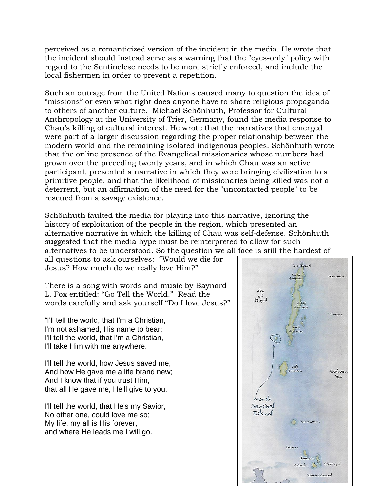perceived as a romanticized version of the incident in the media. He wrote that the incident should instead serve as a warning that the "eyes-only" policy with regard to the Sentinelese needs to be more strictly enforced, and include the local fishermen in order to prevent a repetition.

Such an outrage from the United Nations caused many to question the idea of "missions" or even what right does anyone have to share religious propaganda to others of another culture. Michael Schönhuth, Professor for Cultural Anthropology at the University of Trier, Germany, found the media response to Chau's killing of cultural interest. He wrote that the narratives that emerged were part of a larger discussion regarding the proper relationship between the modern world and the remaining isolated indigenous peoples. Schönhuth wrote that the online presence of the Evangelical missionaries whose numbers had grown over the preceding twenty years, and in which Chau was an active participant, presented a narrative in which they were bringing civilization to a primitive people, and that the likelihood of missionaries being killed was not a deterrent, but an affirmation of the need for the "uncontacted people" to be rescued from a savage existence.

Schönhuth faulted the media for playing into this narrative, ignoring the history of exploitation of the people in the region, which presented an alternative narrative in which the killing of Chau was self-defense. Schönhuth suggested that the media hype must be reinterpreted to allow for such alternatives to be understood. So the question we all face is still the hardest of

all questions to ask ourselves: "Would we die for Jesus? How much do we really love Him?"

There is a song with words and music by Baynard L. Fox entitled: "Go Tell the World." Read the words carefully and ask yourself "Do I love Jesus?"

"I'll tell the world, that I'm a Christian, I'm not ashamed, His name to bear; I'll tell the world, that I'm a Christian, I'll take Him with me anywhere.

I'll tell the world, how Jesus saved me, And how He gave me a life brand new; And I know that if you trust Him, that all He gave me, He'll give to you.

I'll tell the world, that He's my Savior, No other one, could love me so; My life, my all is His forever, and where He leads me I will go.

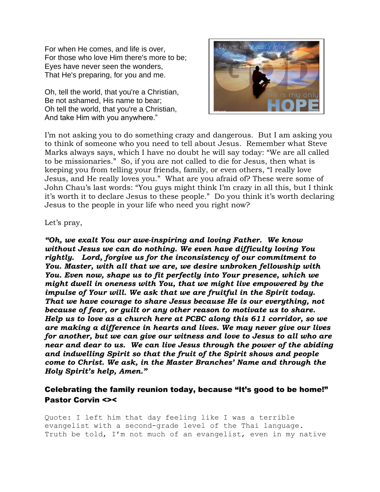For when He comes, and life is over, For those who love Him there's more to be; Eyes have never seen the wonders, That He's preparing, for you and me.

Oh, tell the world, that you're a Christian, Be not ashamed, His name to bear; Oh tell the world, that you're a Christian, And take Him with you anywhere."



I'm not asking you to do something crazy and dangerous. But I am asking you to think of someone who you need to tell about Jesus. Remember what Steve Marks always says, which I have no doubt he will say today: "We are all called to be missionaries." So, if you are not called to die for Jesus, then what is keeping you from telling your friends, family, or even others, "I really love Jesus, and He really loves you." What are you afraid of? These were some of John Chau's last words: "You guys might think I'm crazy in all this, but I think it's worth it to declare Jesus to these people." Do you think it's worth declaring Jesus to the people in your life who need you right now?

#### Let's pray,

*"Oh, we exalt You our awe-inspiring and loving Father. We know without Jesus we can do nothing. We even have difficulty loving You rightly. Lord, forgive us for the inconsistency of our commitment to You. Master, with all that we are, we desire unbroken fellowship with You. Even now, shape us to fit perfectly into Your presence, which we might dwell in oneness with You, that we might live empowered by the impulse of Your will. We ask that we are fruitful in the Spirit today. That we have courage to share Jesus because He is our everything, not because of fear, or guilt or any other reason to motivate us to share. Help us to love as a church here at PCBC along this 611 corridor, so we are making a difference in hearts and lives. We may never give our lives for another, but we can give our witness and love to Jesus to all who are near and dear to us. We can live Jesus through the power of the abiding and indwelling Spirit so that the fruit of the Spirit shows and people come to Christ. We ask, in the Master Branches' Name and through the Holy Spirit's help, Amen."*

## Celebrating the family reunion today, because "It's good to be home!" Pastor Corvin <><

Quote: I left him that day feeling like I was a terrible evangelist with a second-grade level of the Thai language. Truth be told, I'm not much of an evangelist, even in my native